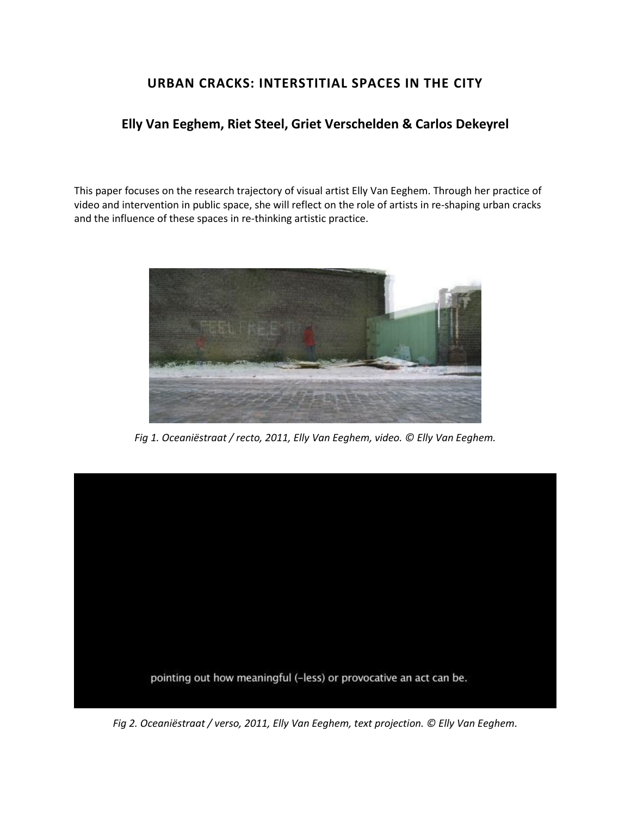# **URBAN CRACKS: INTERSTITIAL SPACES IN THE CITY**

## **Elly Van Eeghem, Riet Steel, Griet Verschelden & Carlos Dekeyrel**

This paper focuses on the research trajectory of visual artist Elly Van Eeghem. Through her practice of video and intervention in public space, she will reflect on the role of artists in re-shaping urban cracks and the influence of these spaces in re-thinking artistic practice.



*Fig 1. Oceaniëstraat / recto, 2011, Elly Van Eeghem, video. © Elly Van Eeghem.*



*Fig 2. Oceaniëstraat / verso, 2011, Elly Van Eeghem, text projection. © Elly Van Eeghem.*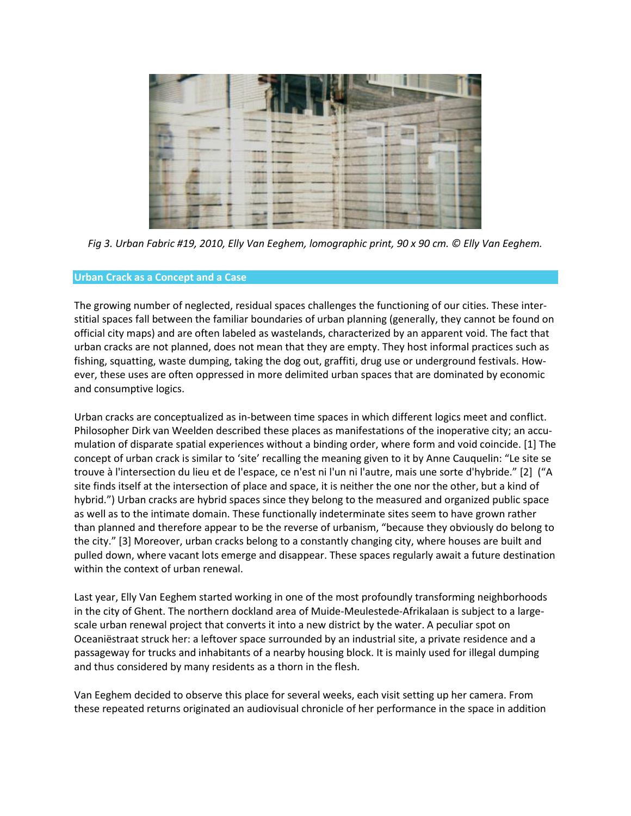

*Fig 3. Urban Fabric #19, 2010, Elly Van Eeghem, lomographic print, 90 x 90 cm. © Elly Van Eeghem.*

## **Urban Crack as a Concept and a Case**

The growing number of neglected, residual spaces challenges the functioning of our cities. These interstitial spaces fall between the familiar boundaries of urban planning (generally, they cannot be found on official city maps) and are often labeled as wastelands, characterized by an apparent void. The fact that urban cracks are not planned, does not mean that they are empty. They host informal practices such as fishing, squatting, waste dumping, taking the dog out, graffiti, drug use or underground festivals. However, these uses are often oppressed in more delimited urban spaces that are dominated by economic and consumptive logics.

Urban cracks are conceptualized as in-between time spaces in which different logics meet and conflict. Philosopher Dirk van Weelden described these places as manifestations of the inoperative city; an accumulation of disparate spatial experiences without a binding order, where form and void coincide. [1] The concept of urban crack is similar to 'site' recalling the meaning given to it by Anne Cauquelin: "Le site se trouve à l'intersection du lieu et de l'espace, ce n'est ni l'un ni l'autre, mais une sorte d'hybride." [2] ("A site finds itself at the intersection of place and space, it is neither the one nor the other, but a kind of hybrid.") Urban cracks are hybrid spaces since they belong to the measured and organized public space as well as to the intimate domain. These functionally indeterminate sites seem to have grown rather than planned and therefore appear to be the reverse of urbanism, "because they obviously do belong to the city." [3] Moreover, urban cracks belong to a constantly changing city, where houses are built and pulled down, where vacant lots emerge and disappear. These spaces regularly await a future destination within the context of urban renewal.

Last year, Elly Van Eeghem started working in one of the most profoundly transforming neighborhoods in the city of Ghent. The northern dockland area of Muide-Meulestede-Afrikalaan is subject to a largescale urban renewal project that converts it into a new district by the water. A peculiar spot on Oceaniëstraat struck her: a leftover space surrounded by an industrial site, a private residence and a passageway for trucks and inhabitants of a nearby housing block. It is mainly used for illegal dumping and thus considered by many residents as a thorn in the flesh.

Van Eeghem decided to observe this place for several weeks, each visit setting up her camera. From these repeated returns originated an audiovisual chronicle of her performance in the space in addition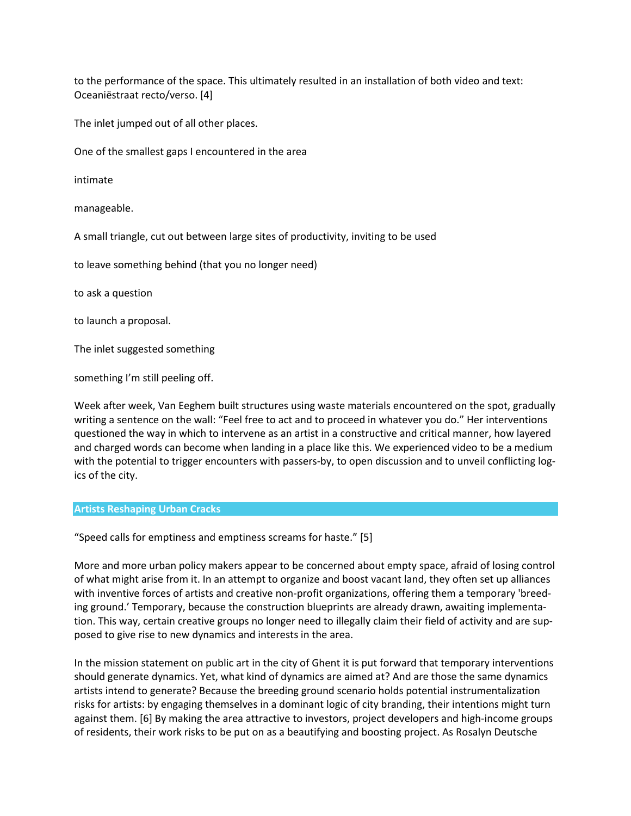to the performance of the space. This ultimately resulted in an installation of both video and text: Oceaniëstraat recto/verso. [4]

The inlet jumped out of all other places.

One of the smallest gaps I encountered in the area

intimate

manageable.

A small triangle, cut out between large sites of productivity, inviting to be used

to leave something behind (that you no longer need)

to ask a question

to launch a proposal.

The inlet suggested something

something I'm still peeling off.

Week after week, Van Eeghem built structures using waste materials encountered on the spot, gradually writing a sentence on the wall: "Feel free to act and to proceed in whatever you do." Her interventions questioned the way in which to intervene as an artist in a constructive and critical manner, how layered and charged words can become when landing in a place like this. We experienced video to be a medium with the potential to trigger encounters with passers-by, to open discussion and to unveil conflicting logics of the city.

#### **Artists Reshaping Urban Cracks**

"Speed calls for emptiness and emptiness screams for haste." [5]

More and more urban policy makers appear to be concerned about empty space, afraid of losing control of what might arise from it. In an attempt to organize and boost vacant land, they often set up alliances with inventive forces of artists and creative non-profit organizations, offering them a temporary 'breeding ground.' Temporary, because the construction blueprints are already drawn, awaiting implementation. This way, certain creative groups no longer need to illegally claim their field of activity and are supposed to give rise to new dynamics and interests in the area.

In the mission statement on public art in the city of Ghent it is put forward that temporary interventions should generate dynamics. Yet, what kind of dynamics are aimed at? And are those the same dynamics artists intend to generate? Because the breeding ground scenario holds potential instrumentalization risks for artists: by engaging themselves in a dominant logic of city branding, their intentions might turn against them. [6] By making the area attractive to investors, project developers and high-income groups of residents, their work risks to be put on as a beautifying and boosting project. As Rosalyn Deutsche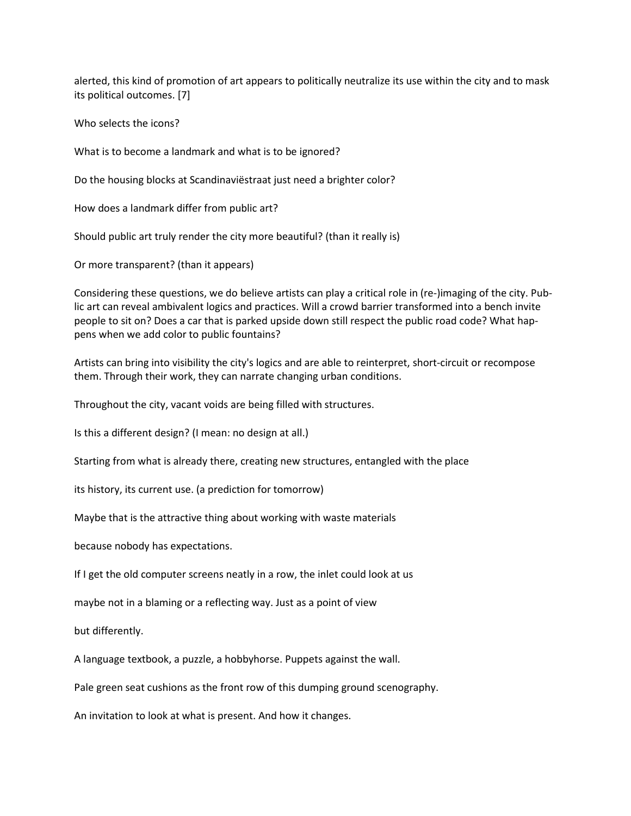alerted, this kind of promotion of art appears to politically neutralize its use within the city and to mask its political outcomes. [7]

Who selects the icons?

What is to become a landmark and what is to be ignored?

Do the housing blocks at Scandinaviëstraat just need a brighter color?

How does a landmark differ from public art?

Should public art truly render the city more beautiful? (than it really is)

Or more transparent? (than it appears)

Considering these questions, we do believe artists can play a critical role in (re-)imaging of the city. Public art can reveal ambivalent logics and practices. Will a crowd barrier transformed into a bench invite people to sit on? Does a car that is parked upside down still respect the public road code? What happens when we add color to public fountains?

Artists can bring into visibility the city's logics and are able to reinterpret, short-circuit or recompose them. Through their work, they can narrate changing urban conditions.

Throughout the city, vacant voids are being filled with structures.

Is this a different design? (I mean: no design at all.)

Starting from what is already there, creating new structures, entangled with the place

its history, its current use. (a prediction for tomorrow)

Maybe that is the attractive thing about working with waste materials

because nobody has expectations.

If I get the old computer screens neatly in a row, the inlet could look at us

maybe not in a blaming or a reflecting way. Just as a point of view

but differently.

A language textbook, a puzzle, a hobbyhorse. Puppets against the wall.

Pale green seat cushions as the front row of this dumping ground scenography.

An invitation to look at what is present. And how it changes.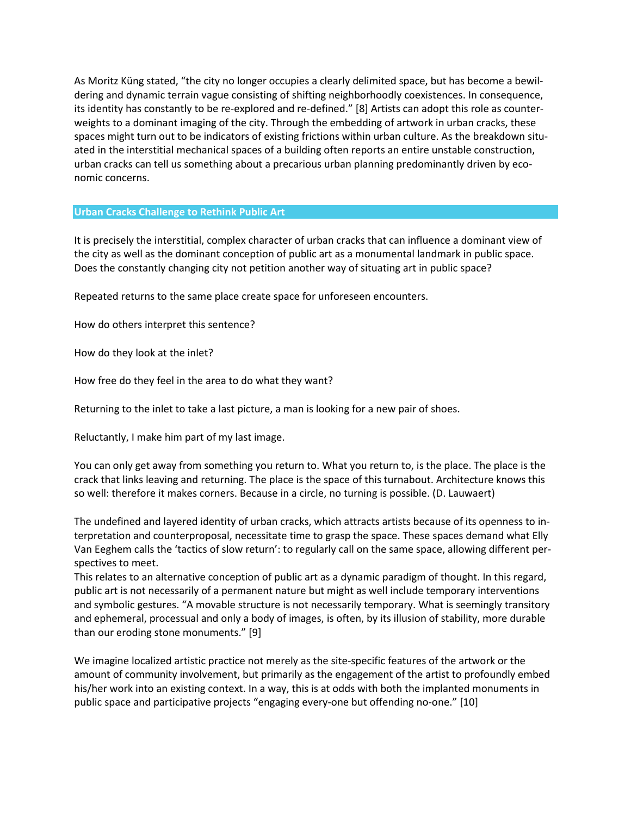As Moritz Küng stated, "the city no longer occupies a clearly delimited space, but has become a bewildering and dynamic terrain vague consisting of shifting neighborhoodly coexistences. In consequence, its identity has constantly to be re-explored and re-defined." [8] Artists can adopt this role as counterweights to a dominant imaging of the city. Through the embedding of artwork in urban cracks, these spaces might turn out to be indicators of existing frictions within urban culture. As the breakdown situated in the interstitial mechanical spaces of a building often reports an entire unstable construction, urban cracks can tell us something about a precarious urban planning predominantly driven by economic concerns.

## **Urban Cracks Challenge to Rethink Public Art**

It is precisely the interstitial, complex character of urban cracks that can influence a dominant view of the city as well as the dominant conception of public art as a monumental landmark in public space. Does the constantly changing city not petition another way of situating art in public space?

Repeated returns to the same place create space for unforeseen encounters.

How do others interpret this sentence?

How do they look at the inlet?

How free do they feel in the area to do what they want?

Returning to the inlet to take a last picture, a man is looking for a new pair of shoes.

Reluctantly, I make him part of my last image.

You can only get away from something you return to. What you return to, is the place. The place is the crack that links leaving and returning. The place is the space of this turnabout. Architecture knows this so well: therefore it makes corners. Because in a circle, no turning is possible. (D. Lauwaert)

The undefined and layered identity of urban cracks, which attracts artists because of its openness to interpretation and counterproposal, necessitate time to grasp the space. These spaces demand what Elly Van Eeghem calls the 'tactics of slow return': to regularly call on the same space, allowing different perspectives to meet.

This relates to an alternative conception of public art as a dynamic paradigm of thought. In this regard, public art is not necessarily of a permanent nature but might as well include temporary interventions and symbolic gestures. "A movable structure is not necessarily temporary. What is seemingly transitory and ephemeral, processual and only a body of images, is often, by its illusion of stability, more durable than our eroding stone monuments." [9]

We imagine localized artistic practice not merely as the site-specific features of the artwork or the amount of community involvement, but primarily as the engagement of the artist to profoundly embed his/her work into an existing context. In a way, this is at odds with both the implanted monuments in public space and participative projects "engaging every-one but offending no-one." [10]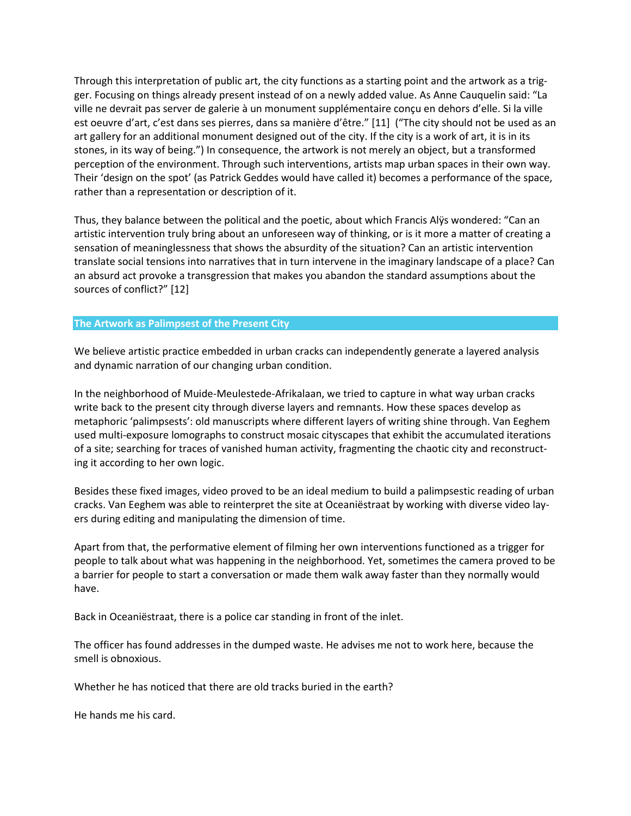Through this interpretation of public art, the city functions as a starting point and the artwork as a trigger. Focusing on things already present instead of on a newly added value. As Anne Cauquelin said: "La ville ne devrait pas server de galerie à un monument supplémentaire conçu en dehors d'elle. Si la ville est oeuvre d'art, c'est dans ses pierres, dans sa manière d'être." [11] ("The city should not be used as an art gallery for an additional monument designed out of the city. If the city is a work of art, it is in its stones, in its way of being.") In consequence, the artwork is not merely an object, but a transformed perception of the environment. Through such interventions, artists map urban spaces in their own way. Their 'design on the spot' (as Patrick Geddes would have called it) becomes a performance of the space, rather than a representation or description of it.

Thus, they balance between the political and the poetic, about which Francis Alÿs wondered: "Can an artistic intervention truly bring about an unforeseen way of thinking, or is it more a matter of creating a sensation of meaninglessness that shows the absurdity of the situation? Can an artistic intervention translate social tensions into narratives that in turn intervene in the imaginary landscape of a place? Can an absurd act provoke a transgression that makes you abandon the standard assumptions about the sources of conflict?" [12]

## **The Artwork as Palimpsest of the Present City**

We believe artistic practice embedded in urban cracks can independently generate a layered analysis and dynamic narration of our changing urban condition.

In the neighborhood of Muide-Meulestede-Afrikalaan, we tried to capture in what way urban cracks write back to the present city through diverse layers and remnants. How these spaces develop as metaphoric 'palimpsests': old manuscripts where different layers of writing shine through. Van Eeghem used multi-exposure lomographs to construct mosaic cityscapes that exhibit the accumulated iterations of a site; searching for traces of vanished human activity, fragmenting the chaotic city and reconstructing it according to her own logic.

Besides these fixed images, video proved to be an ideal medium to build a palimpsestic reading of urban cracks. Van Eeghem was able to reinterpret the site at Oceaniëstraat by working with diverse video layers during editing and manipulating the dimension of time.

Apart from that, the performative element of filming her own interventions functioned as a trigger for people to talk about what was happening in the neighborhood. Yet, sometimes the camera proved to be a barrier for people to start a conversation or made them walk away faster than they normally would have.

Back in Oceaniëstraat, there is a police car standing in front of the inlet.

The officer has found addresses in the dumped waste. He advises me not to work here, because the smell is obnoxious.

Whether he has noticed that there are old tracks buried in the earth?

He hands me his card.